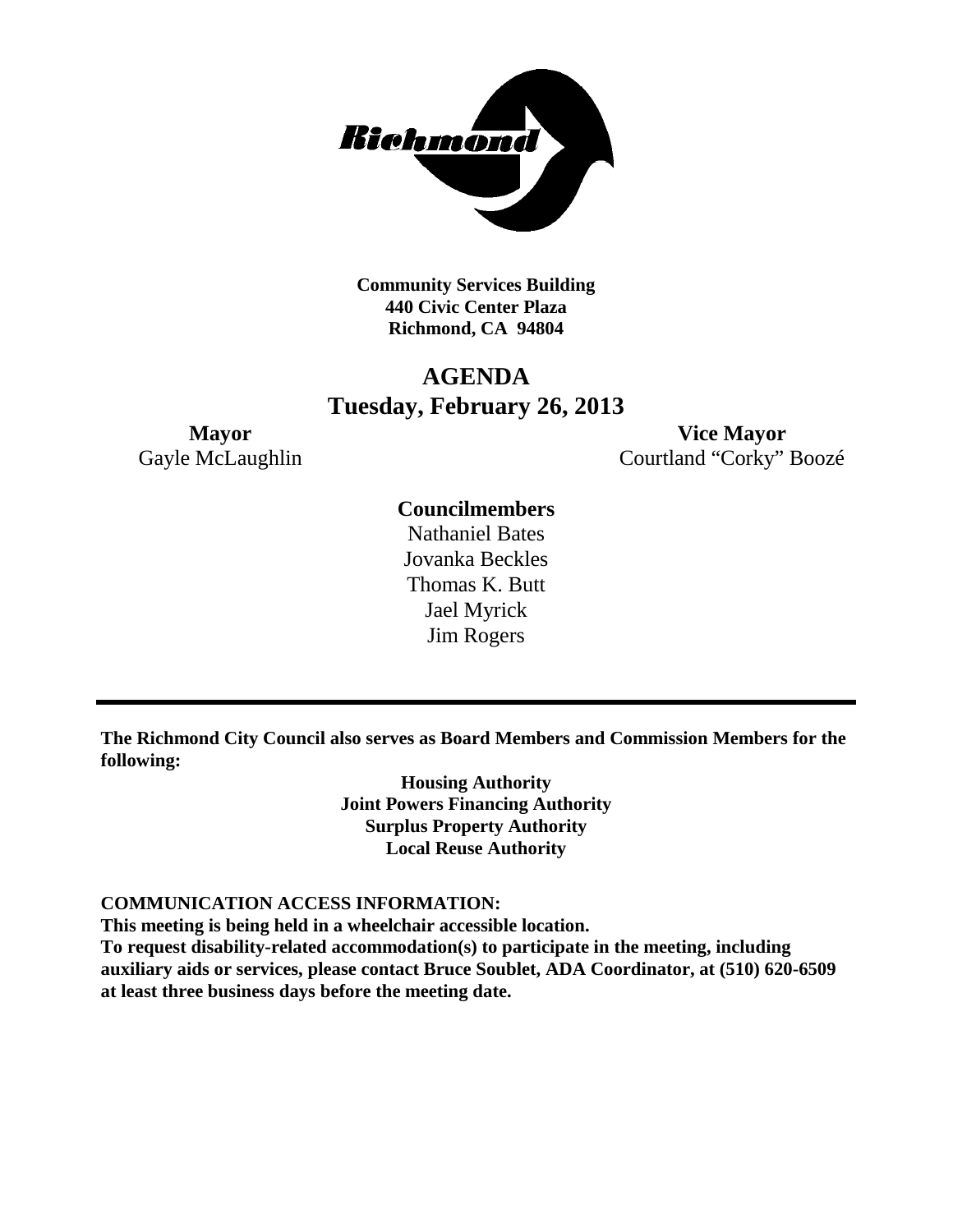

**Community Services Building 440 Civic Center Plaza Richmond, CA 94804**

## **AGENDA Tuesday, February 26, 2013**

**Mayor Vice Mayor** Gayle McLaughlin Courtland "Corky" Boozé

## **Councilmembers**

Nathaniel Bates Jovanka Beckles Thomas K. Butt Jael Myrick Jim Rogers

**The Richmond City Council also serves as Board Members and Commission Members for the following:**

> **Housing Authority Joint Powers Financing Authority Surplus Property Authority Local Reuse Authority**

#### **COMMUNICATION ACCESS INFORMATION:**

**This meeting is being held in a wheelchair accessible location.**

**To request disability-related accommodation(s) to participate in the meeting, including auxiliary aids or services, please contact Bruce Soublet, ADA Coordinator, at (510) 620-6509 at least three business days before the meeting date.**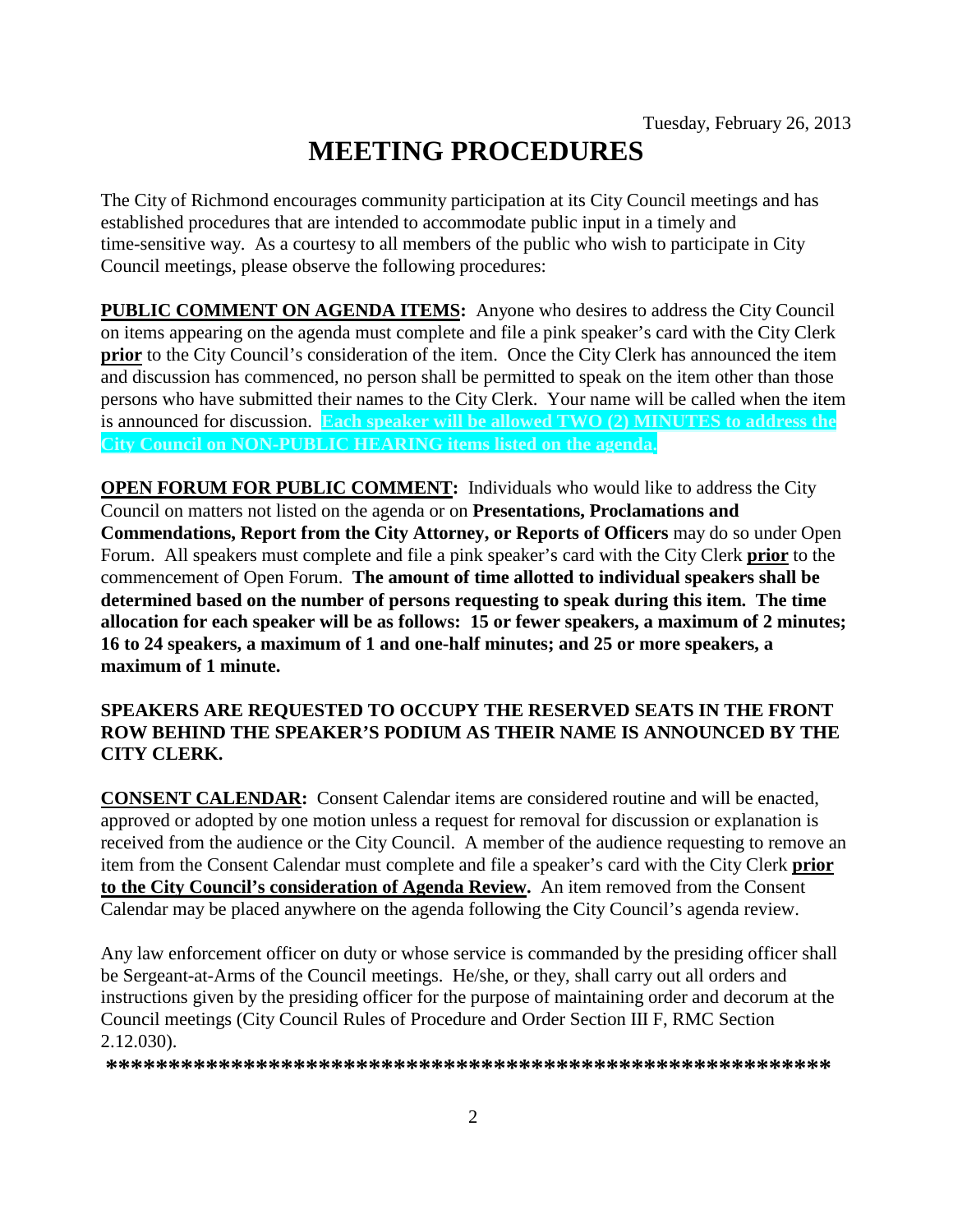# **MEETING PROCEDURES**

The City of Richmond encourages community participation at its City Council meetings and has established procedures that are intended to accommodate public input in a timely and time-sensitive way. As a courtesy to all members of the public who wish to participate in City Council meetings, please observe the following procedures:

**PUBLIC COMMENT ON AGENDA ITEMS:** Anyone who desires to address the City Council on items appearing on the agenda must complete and file a pink speaker's card with the City Clerk **prior** to the City Council's consideration of the item. Once the City Clerk has announced the item and discussion has commenced, no person shall be permitted to speak on the item other than those persons who have submitted their names to the City Clerk. Your name will be called when the item is announced for discussion. **Each speaker will be allowed TWO (2) MINUTES to address the City Council on NON-PUBLIC HEARING items listed on the agenda.**

**OPEN FORUM FOR PUBLIC COMMENT:** Individuals who would like to address the City Council on matters not listed on the agenda or on **Presentations, Proclamations and Commendations, Report from the City Attorney, or Reports of Officers** may do so under Open Forum. All speakers must complete and file a pink speaker's card with the City Clerk **prior** to the commencement of Open Forum. **The amount of time allotted to individual speakers shall be determined based on the number of persons requesting to speak during this item. The time allocation for each speaker will be as follows: 15 or fewer speakers, a maximum of 2 minutes; 16 to 24 speakers, a maximum of 1 and one-half minutes; and 25 or more speakers, a maximum of 1 minute.**

### **SPEAKERS ARE REQUESTED TO OCCUPY THE RESERVED SEATS IN THE FRONT ROW BEHIND THE SPEAKER'S PODIUM AS THEIR NAME IS ANNOUNCED BY THE CITY CLERK.**

**CONSENT CALENDAR:** Consent Calendar items are considered routine and will be enacted, approved or adopted by one motion unless a request for removal for discussion or explanation is received from the audience or the City Council. A member of the audience requesting to remove an item from the Consent Calendar must complete and file a speaker's card with the City Clerk **prior to the City Council's consideration of Agenda Review.** An item removed from the Consent Calendar may be placed anywhere on the agenda following the City Council's agenda review.

Any law enforcement officer on duty or whose service is commanded by the presiding officer shall be Sergeant-at-Arms of the Council meetings. He/she, or they, shall carry out all orders and instructions given by the presiding officer for the purpose of maintaining order and decorum at the Council meetings (City Council Rules of Procedure and Order Section III F, RMC Section 2.12.030).

**\*\*\*\*\*\*\*\*\*\*\*\*\*\*\*\*\*\*\*\*\*\*\*\*\*\*\*\*\*\*\*\*\*\*\*\*\*\*\*\*\*\*\*\*\*\*\*\*\*\*\*\*\*\*\*\*\*\***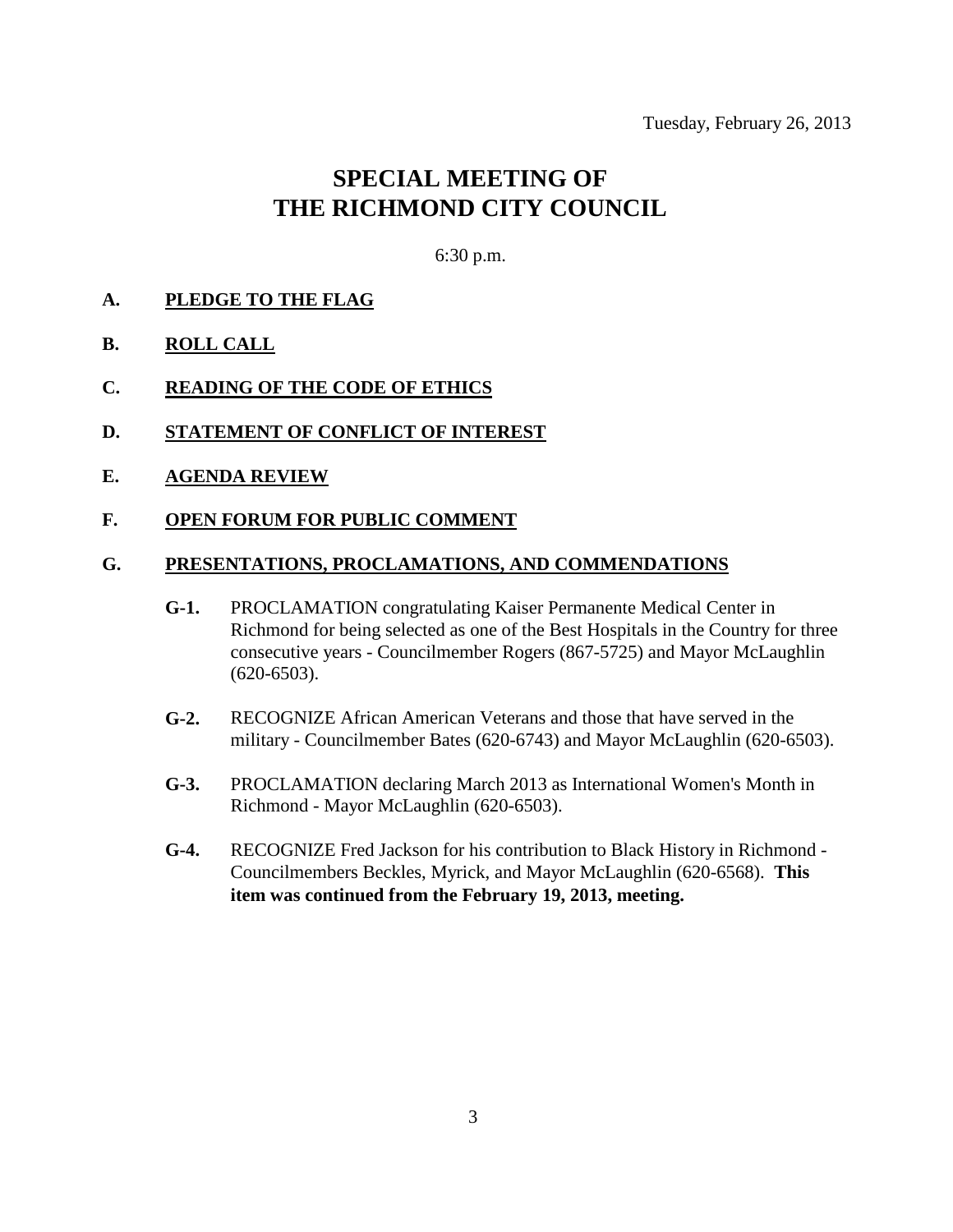# **SPECIAL MEETING OF THE RICHMOND CITY COUNCIL**

6:30 p.m.

- **A. PLEDGE TO THE FLAG**
- **B. ROLL CALL**
- **C. READING OF THE CODE OF ETHICS**
- **D. STATEMENT OF CONFLICT OF INTEREST**
- **E. AGENDA REVIEW**

#### **F. OPEN FORUM FOR PUBLIC COMMENT**

#### **G. PRESENTATIONS, PROCLAMATIONS, AND COMMENDATIONS**

- **G-1.** PROCLAMATION congratulating Kaiser Permanente Medical Center in Richmond for being selected as one of the Best Hospitals in the Country for three consecutive years - Councilmember Rogers (867-5725) and Mayor McLaughlin (620-6503).
- **G-2.** RECOGNIZE African American Veterans and those that have served in the military - Councilmember Bates (620-6743) and Mayor McLaughlin (620-6503).
- **G-3.** PROCLAMATION declaring March 2013 as International Women's Month in Richmond - Mayor McLaughlin (620-6503).
- **G-4.** RECOGNIZE Fred Jackson for his contribution to Black History in Richmond Councilmembers Beckles, Myrick, and Mayor McLaughlin (620-6568). **This item was continued from the February 19, 2013, meeting.**